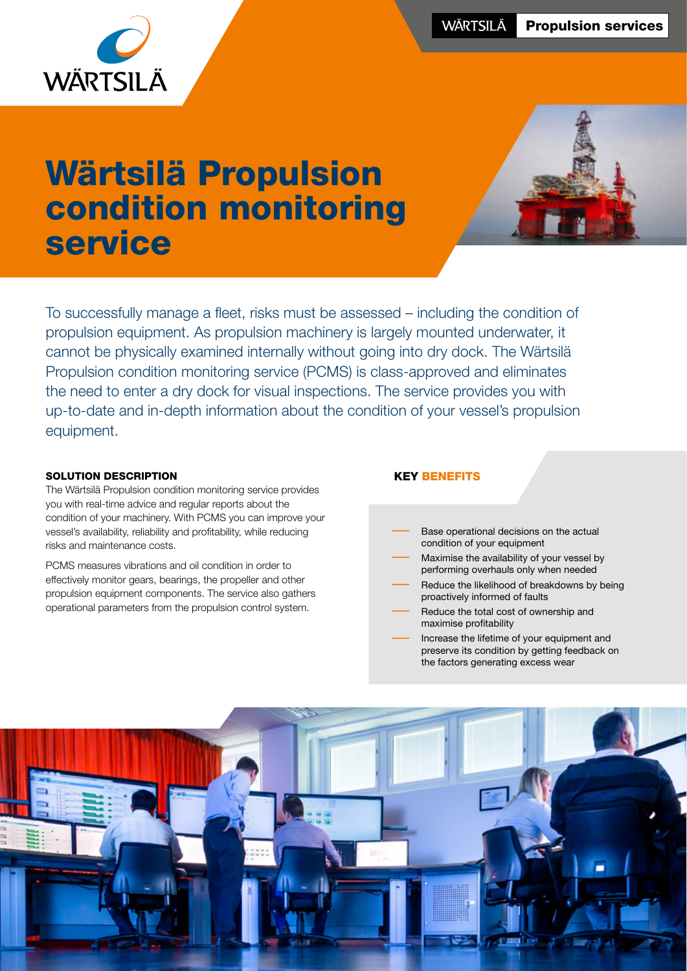

# Wärtsilä Propulsion condition monitoring service



To successfully manage a fleet, risks must be assessed – including the condition of propulsion equipment. As propulsion machinery is largely mounted underwater, it cannot be physically examined internally without going into dry dock. The Wärtsilä Propulsion condition monitoring service (PCMS) is class-approved and eliminates the need to enter a dry dock for visual inspections. The service provides you with up-to-date and in-depth information about the condition of your vessel's propulsion equipment.

#### SOLUTION DESCRIPTION

The Wärtsilä Propulsion condition monitoring service provides you with real-time advice and regular reports about the condition of your machinery. With PCMS you can improve your vessel's availability, reliability and profitability, while reducing risks and maintenance costs.

PCMS measures vibrations and oil condition in order to effectively monitor gears, bearings, the propeller and other propulsion equipment components. The service also gathers operational parameters from the propulsion control system.

### KEY BENEFITS

- Base operational decisions on the actual condition of your equipment
- Maximise the availability of your vessel by performing overhauls only when needed
- Reduce the likelihood of breakdowns by being proactively informed of faults
- Reduce the total cost of ownership and maximise profitability
	- Increase the lifetime of your equipment and preserve its condition by getting feedback on the factors generating excess wear